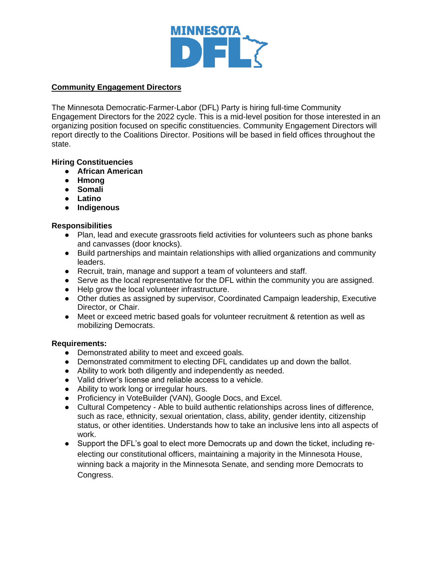

# **Community Engagement Directors**

The Minnesota Democratic-Farmer-Labor (DFL) Party is hiring full-time Community Engagement Directors for the 2022 cycle. This is a mid-level position for those interested in an organizing position focused on specific constituencies. Community Engagement Directors will report directly to the Coalitions Director. Positions will be based in field offices throughout the state.

## **Hiring Constituencies**

- **African American**
- **Hmong**
- **Somali**
- **Latino**
- **Indigenous**

### **Responsibilities**

- Plan, lead and execute grassroots field activities for volunteers such as phone banks and canvasses (door knocks).
- Build partnerships and maintain relationships with allied organizations and community leaders.
- Recruit, train, manage and support a team of volunteers and staff.
- Serve as the local representative for the DFL within the community you are assigned.
- Help grow the local volunteer infrastructure.
- Other duties as assigned by supervisor, Coordinated Campaign leadership, Executive Director, or Chair.
- Meet or exceed metric based goals for volunteer recruitment & retention as well as mobilizing Democrats.

#### **Requirements:**

- Demonstrated ability to meet and exceed goals.
- Demonstrated commitment to electing DFL candidates up and down the ballot.
- Ability to work both diligently and independently as needed.
- Valid driver's license and reliable access to a vehicle.
- Ability to work long or irregular hours.
- Proficiency in VoteBuilder (VAN), Google Docs, and Excel.
- Cultural Competency Able to build authentic relationships across lines of difference, such as race, ethnicity, sexual orientation, class, ability, gender identity, citizenship status, or other identities. Understands how to take an inclusive lens into all aspects of work.
- Support the DFL's goal to elect more Democrats up and down the ticket, including reelecting our constitutional officers, maintaining a majority in the Minnesota House, winning back a majority in the Minnesota Senate, and sending more Democrats to Congress.